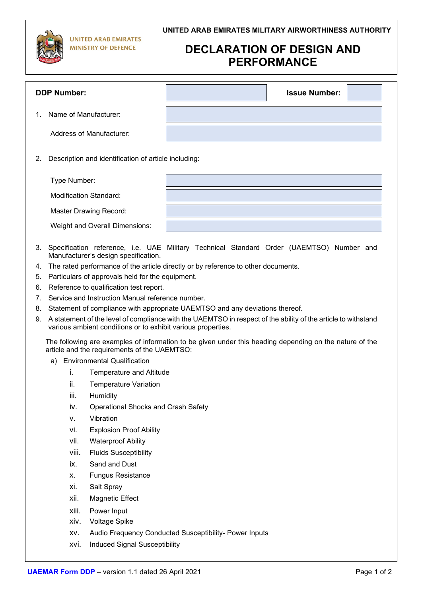## **DECLARATION OF DESIGN AND PERFORMANCE**

| <b>DDP Number:</b>                                         | <b>Issue Number:</b> |  |  |  |
|------------------------------------------------------------|----------------------|--|--|--|
| Name of Manufacturer:<br>$1_{-}$                           |                      |  |  |  |
| Address of Manufacturer:                                   |                      |  |  |  |
| Description and identification of article including:<br>2. |                      |  |  |  |
| Type Number:                                               |                      |  |  |  |
| Modification Standard:                                     |                      |  |  |  |
| <b>Master Drawing Record:</b>                              |                      |  |  |  |
| Weight and Overall Dimensions:                             |                      |  |  |  |

- 3. Specification reference, i.e. UAE Military Technical Standard Order (UAEMTSO) Number and Manufacturer's design specification.
- 4. The rated performance of the article directly or by reference to other documents.
- 5. Particulars of approvals held for the equipment.
- 6. Reference to qualification test report.
- 7. Service and Instruction Manual reference number.
- 8. Statement of compliance with appropriate UAEMTSO and any deviations thereof.
- 9. A statement of the level of compliance with the UAEMTSO in respect of the ability of the article to withstand various ambient conditions or to exhibit various properties.

The following are examples of information to be given under this heading depending on the nature of the article and the requirements of the UAEMTSO:

- a) Environmental Qualification
	- i. Temperature and Altitude
	- ii. Temperature Variation
	- iii. Humidity
	- iv. Operational Shocks and Crash Safety
	- v. Vibration
	- vi. Explosion Proof Ability
	- vii. Waterproof Ability
	- viii. Fluids Susceptibility
	- ix. Sand and Dust
	- x. Fungus Resistance
	- xi. Salt Spray
	- xii. Magnetic Effect
	- xiii. Power Input
	- xiv. Voltage Spike
	- xv. Audio Frequency Conducted Susceptibility- Power Inputs
	- xvi. Induced Signal Susceptibility